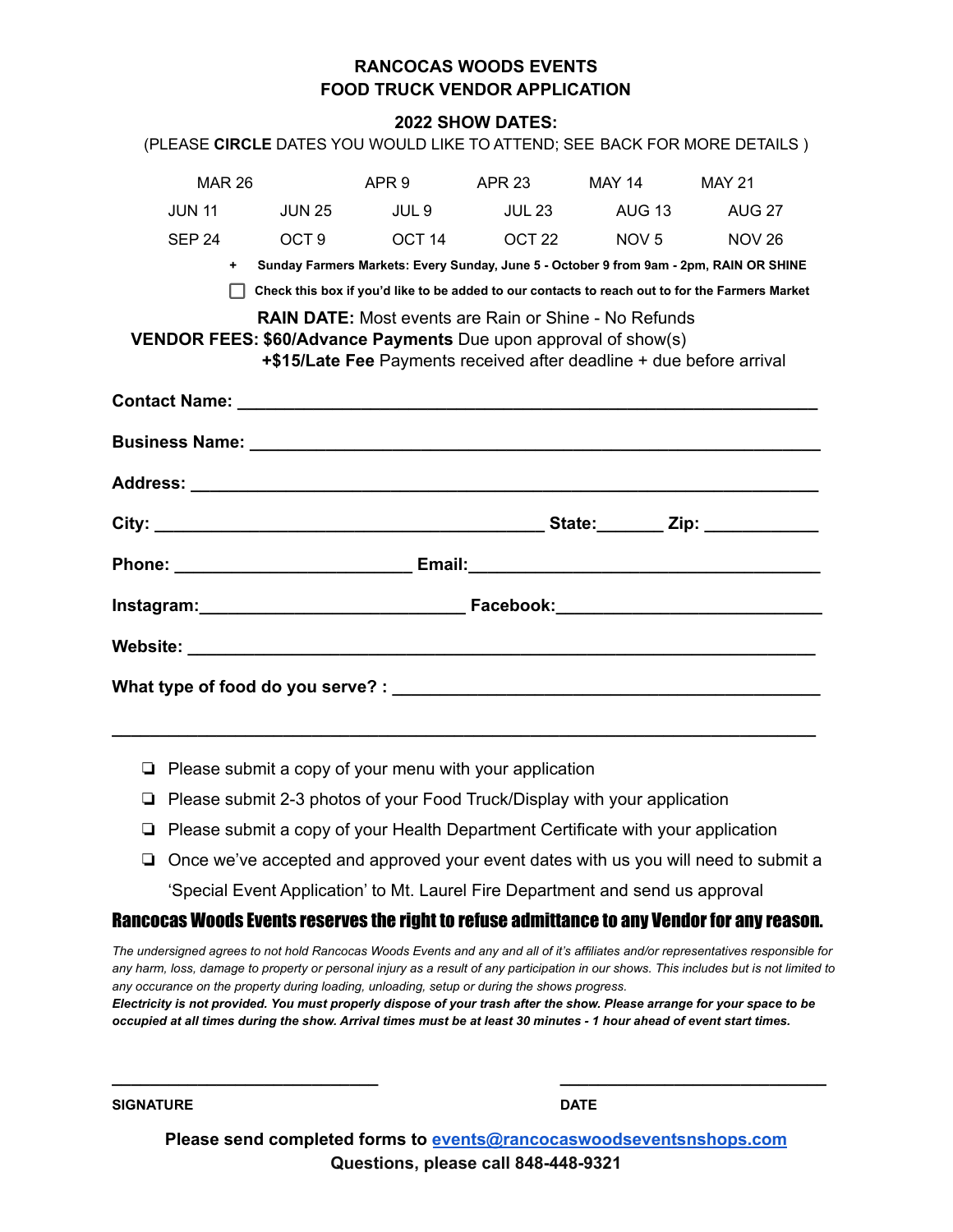## **RANCOCAS WOODS EVENTS FOOD TRUCK VENDOR APPLICATION**

#### **2022 SHOW DATES:**

|                                                                                                                                                                                                                                |               |       |        |                                         | (PLEASE CIRCLE DATES YOU WOULD LIKE TO ATTEND; SEE BACK FOR MORE DETAILS)                       |  |  |  |
|--------------------------------------------------------------------------------------------------------------------------------------------------------------------------------------------------------------------------------|---------------|-------|--------|-----------------------------------------|-------------------------------------------------------------------------------------------------|--|--|--|
| <b>MAR 26</b>                                                                                                                                                                                                                  |               | APR 9 | APR 23 | MAY 14                                  | <b>MAY 21</b>                                                                                   |  |  |  |
| $JUN$ 11                                                                                                                                                                                                                       | <b>JUN 25</b> | JUL 9 |        | JUL 23 AUG 13                           | <b>AUG 27</b>                                                                                   |  |  |  |
|                                                                                                                                                                                                                                |               |       |        | SEP 24 OCT 9 OCT 14 OCT 22 NOV 5 NOV 26 |                                                                                                 |  |  |  |
| $+$ $-$                                                                                                                                                                                                                        |               |       |        |                                         | Sunday Farmers Markets: Every Sunday, June 5 - October 9 from 9am - 2pm, RAIN OR SHINE          |  |  |  |
|                                                                                                                                                                                                                                |               |       |        |                                         | Check this box if you'd like to be added to our contacts to reach out to for the Farmers Market |  |  |  |
| <b>RAIN DATE:</b> Most events are Rain or Shine - No Refunds<br><b>VENDOR FEES: \$60/Advance Payments</b> Due upon approval of show(s)<br>+\$15/Late Fee Payments received after deadline + due before arrival                 |               |       |        |                                         |                                                                                                 |  |  |  |
| Contact Name: 2008 2009 2009 2009 2009 2010 2020 2031 2040 2050 2061 2071 2082 2093 2009 2010 2020 2020 2020 20                                                                                                                |               |       |        |                                         |                                                                                                 |  |  |  |
|                                                                                                                                                                                                                                |               |       |        |                                         |                                                                                                 |  |  |  |
|                                                                                                                                                                                                                                |               |       |        |                                         |                                                                                                 |  |  |  |
|                                                                                                                                                                                                                                |               |       |        |                                         |                                                                                                 |  |  |  |
| Phone: Email: Email: Email: Email: Email: Email: Email: Email: Email: Email: Email: Email: Email: Email: Email: Email: Email: Email: Email: Email: Email: Email: Email: Email: Email: Email: Email: Email: Email: Email: Email |               |       |        |                                         |                                                                                                 |  |  |  |
|                                                                                                                                                                                                                                |               |       |        |                                         |                                                                                                 |  |  |  |
|                                                                                                                                                                                                                                |               |       |        |                                         |                                                                                                 |  |  |  |
|                                                                                                                                                                                                                                |               |       |        |                                         |                                                                                                 |  |  |  |

- ❏ Please submit a copy of your menu with your application
- ❏ Please submit 2-3 photos of your Food Truck/Display with your application
- ❏ Please submit a copy of your Health Department Certificate with your application

**\_\_\_\_\_\_\_\_\_\_\_\_\_\_\_\_\_\_\_\_\_\_\_\_\_\_\_\_\_\_\_\_\_\_\_\_\_\_\_\_\_\_\_\_\_\_\_\_\_\_\_\_\_\_\_\_\_\_\_\_\_\_\_\_\_\_\_\_\_\_\_\_\_\_**

❏ Once we've accepted and approved your event dates with us you will need to submit a 'Special Event Application' to Mt. Laurel Fire Department and send us approval

#### Rancocas Woods Events reserves the right to refuse admittance to any Vendor for any reason.

The undersigned agrees to not hold Rancocas Woods Events and any and all of it's affiliates and/or representatives responsible for any harm, loss, damage to property or personal injury as a result of any participation in our shows. This includes but is not limited to *any occurance on the property during loading, unloading, setup or during the shows progress.*

Electricity is not provided. You must properly dispose of your trash after the show. Please arrange for your space to be occupied at all times during the show. Arrival times must be at least 30 minutes - 1 hour ahead of event start times.

**SIGNATURE DATE**

**Please send completed forms to [events@rancocaswoodseventsnshops.com](mailto:events@rancocaswoodseventsnshops.com) Questions, please call 848-448-9321**

**\_\_\_\_\_\_\_\_\_\_\_\_\_\_\_\_\_\_\_\_\_\_\_\_\_\_\_\_ \_\_\_\_\_\_\_\_\_\_\_\_\_\_\_\_\_\_\_\_\_\_\_\_\_\_\_\_**